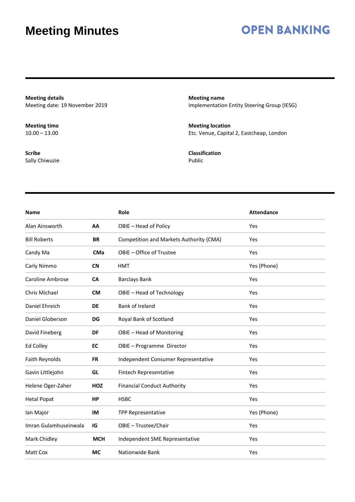## **OPEN BANKING**

**Meeting details** Meeting date: 19 November 2019

**Meeting time**  $10.00 - 13.00$ 

**Scribe** Sally Chiwuzie **Meeting name** Implementation Entity Steering Group (IESG)

**Meeting location** Etc. Venue, Capital 2, Eastcheap, London

**Classification** Public

| <b>Name</b>             |            | Role                                    | <b>Attendance</b> |
|-------------------------|------------|-----------------------------------------|-------------------|
| Alan Ainsworth          | AA         | OBIE - Head of Policy                   | Yes               |
| <b>Bill Roberts</b>     | <b>BR</b>  | Competition and Markets Authority (CMA) | Yes               |
| Candy Ma                | <b>CMa</b> | OBIE - Office of Trustee                | Yes               |
| Carly Nimmo             | <b>CN</b>  | <b>HMT</b>                              | Yes (Phone)       |
| <b>Caroline Ambrose</b> | CA         | <b>Barclays Bank</b>                    | Yes               |
| Chris Michael           | <b>CM</b>  | OBIE - Head of Technology               | Yes               |
| Daniel Ehreich          | <b>DE</b>  | Bank of Ireland                         | Yes               |
| Daniel Globerson        | <b>DG</b>  | Royal Bank of Scotland                  | Yes               |
| David Fineberg          | DF         | OBIE - Head of Monitoring               | Yes               |
| Ed Colley               | EC         | OBIE - Programme Director               | Yes               |
| Faith Reynolds          | <b>FR</b>  | Independent Consumer Representative     | Yes               |
| Gavin Littlejohn        | GL         | Fintech Representative                  | Yes               |
| Helene Oger-Zaher       | HOZ        | <b>Financial Conduct Authority</b>      | Yes               |
| <b>Hetal Popat</b>      | <b>HP</b>  | <b>HSBC</b>                             | Yes               |
| lan Major               | IM         | <b>TPP Representative</b>               | Yes (Phone)       |
| Imran Gulamhuseinwala   | IG         | OBIE - Trustee/Chair                    | Yes               |
| Mark Chidley            | <b>MCH</b> | Independent SME Representative          | Yes               |
| Matt Cox                | <b>MC</b>  | Nationwide Bank                         | Yes               |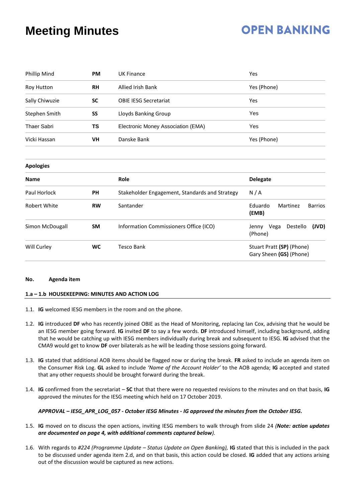## **OPEN BANKING**

| Phillip Mind        | <b>PM</b> | <b>UK Finance</b>                              | Yes                                                  |  |
|---------------------|-----------|------------------------------------------------|------------------------------------------------------|--|
| Roy Hutton          | <b>RH</b> | <b>Allied Irish Bank</b>                       | Yes (Phone)                                          |  |
| Sally Chiwuzie      | <b>SC</b> | <b>OBIE IESG Secretariat</b>                   | Yes                                                  |  |
| Stephen Smith       | SS        | Lloyds Banking Group                           | Yes                                                  |  |
| <b>Thaer Sabri</b>  | TS        | Electronic Money Association (EMA)             | Yes                                                  |  |
| Vicki Hassan        | VH        | Danske Bank                                    | Yes (Phone)                                          |  |
| <b>Apologies</b>    |           |                                                |                                                      |  |
| <b>Name</b>         |           | Role                                           | <b>Delegate</b>                                      |  |
| Paul Horlock        | <b>PH</b> | Stakeholder Engagement, Standards and Strategy | N/A                                                  |  |
| <b>Robert White</b> | <b>RW</b> | Santander                                      | Eduardo<br>Martinez<br><b>Barrios</b><br>(EMB)       |  |
| Simon McDougall     | <b>SM</b> | Information Commissioners Office (ICO)         | Vega<br>Destello<br>(JVD)<br>Jenny<br>(Phone)        |  |
| Will Curley         | WC        | <b>Tesco Bank</b>                              | Stuart Pratt (SP) (Phone)<br>Gary Sheen (GS) (Phone) |  |

#### **No. Agenda item**

#### **1.a – 1.b HOUSEKEEPING: MINUTES AND ACTION LOG**

- 1.1. **IG** welcomed IESG members in the room and on the phone.
- 1.2. **IG** introduced **DF** who has recently joined OBIE as the Head of Monitoring, replacing Ian Cox, advising that he would be an IESG member going forward. **IG** invited **DF** to say a few words. **DF** introduced himself, including background, adding that he would be catching up with IESG members individually during break and subsequent to IESG. **IG** advised that the CMA9 would get to know **DF** over bilaterals as he will be leading those sessions going forward.
- 1.3. **IG** stated that additional AOB items should be flagged now or during the break. **FR** asked to include an agenda item on the Consumer Risk Log. **GL** asked to include *'Name of the Account Holder'* to the AOB agenda; **IG** accepted and stated that any other requests should be brought forward during the break.
- 1.4. **IG** confirmed from the secretariat **SC** that that there were no requested revisions to the minutes and on that basis, **IG** approved the minutes for the IESG meeting which held on 17 October 2019.

#### *APPROVAL – IESG\_APR\_LOG\_057 - October IESG Minutes - IG approved the minutes from the October IESG.*

- 1.5. **IG** moved on to discuss the open actions, inviting IESG members to walk through from slide 24 *(Note: action updates are documented on page 4, with additional comments captured below).*
- 1.6. With regards to *#224 (Programme Update – Status Update on Open Banking),* **IG** stated that this is included in the pack to be discussed under agenda item 2.d, and on that basis, this action could be closed. **IG** added that any actions arising out of the discussion would be captured as new actions.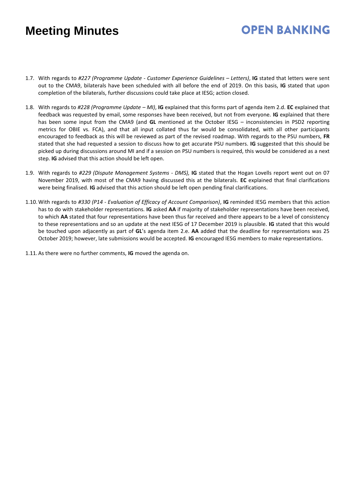## **OPEN BANKING**

- 1.7. With regards to *#227 (Programme Update - Customer Experience Guidelines – Letters)*, **IG** stated that letters were sent out to the CMA9, bilaterals have been scheduled with all before the end of 2019. On this basis, **IG** stated that upon completion of the bilaterals, further discussions could take place at IESG; action closed.
- 1.8. With regards to *#228 (Programme Update – MI)*, **IG** explained that this forms part of agenda item 2.d. **EC** explained that feedback was requested by email, some responses have been received, but not from everyone. **IG** explained that there has been some input from the CMA9 (and **GL** mentioned at the October IESG – inconsistencies in PSD2 reporting metrics for OBIE vs. FCA), and that all input collated thus far would be consolidated, with all other participants encouraged to feedback as this will be reviewed as part of the revised roadmap. With regards to the PSU numbers, **FR** stated that she had requested a session to discuss how to get accurate PSU numbers. **IG** suggested that this should be picked up during discussions around MI and if a session on PSU numbers is required, this would be considered as a next step. **IG** advised that this action should be left open.
- 1.9. With regards to *#229 (Dispute Management Systems - DMS),* **IG** stated that the Hogan Lovells report went out on 07 November 2019, with most of the CMA9 having discussed this at the bilaterals. **EC** explained that final clarifications were being finalised. **IG** advised that this action should be left open pending final clarifications.
- 1.10.With regards to *#330 (P14 - Evaluation of Efficacy of Account Comparison)*, **IG** reminded IESG members that this action has to do with stakeholder representations. **IG** asked **AA** if majority of stakeholder representations have been received, to which **AA** stated that four representations have been thus far received and there appears to be a level of consistency to these representations and so an update at the next IESG of 17 December 2019 is plausible. **IG** stated that this would be touched upon adjacently as part of **GL**'s agenda item 2.e. **AA** added that the deadline for representations was 25 October 2019; however, late submissions would be accepted. **IG** encouraged IESG members to make representations.

1.11.As there were no further comments, **IG** moved the agenda on.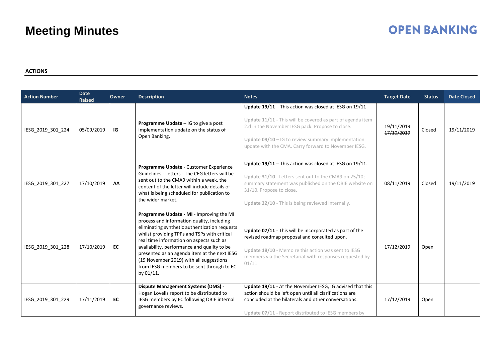## **OPEN BANKING**

#### **ACTIONS**

| <b>Action Number</b> | <b>Date</b><br><b>Raised</b> | Owner | <b>Description</b>                                                                                                                                                                                                                                                                                                                                                                                                                       | <b>Notes</b>                                                                                                                                                                                                                                                                             | <b>Target Date</b>       | <b>Status</b> | <b>Date Closed</b> |
|----------------------|------------------------------|-------|------------------------------------------------------------------------------------------------------------------------------------------------------------------------------------------------------------------------------------------------------------------------------------------------------------------------------------------------------------------------------------------------------------------------------------------|------------------------------------------------------------------------------------------------------------------------------------------------------------------------------------------------------------------------------------------------------------------------------------------|--------------------------|---------------|--------------------|
| IESG_2019_301_224    | 05/09/2019                   | IG    | Programme Update - IG to give a post<br>implementation update on the status of<br>Open Banking.                                                                                                                                                                                                                                                                                                                                          | Update 19/11 - This action was closed at IESG on 19/11<br>Update 11/11 - This will be covered as part of agenda item<br>2.d in the November IESG pack. Propose to close.<br>Update $09/10 - 16$ to review summary implementation<br>update with the CMA. Carry forward to November IESG. | 19/11/2019<br>17/10/2019 | Closed        | 19/11/2019         |
| IESG_2019_301_227    | 17/10/2019                   | AA    | Programme Update - Customer Experience<br>Guidelines - Letters - The CEG letters will be<br>sent out to the CMA9 within a week, the<br>content of the letter will include details of<br>what is being scheduled for publication to<br>the wider market.                                                                                                                                                                                  | Update 19/11 - This action was closed at IESG on 19/11.<br>Update 31/10 - Letters sent out to the CMA9 on 25/10;<br>summary statement was published on the OBIE website on<br>31/10. Propose to close.<br>Update 22/10 - This is being reviewed internally.                              | 08/11/2019               | Closed        | 19/11/2019         |
| IESG_2019_301_228    | 17/10/2019                   | EC    | Programme Update - MI - Improving the MI<br>process and information quality, including<br>eliminating synthetic authentication requests<br>whilst providing TPPs and TSPs with critical<br>real time information on aspects such as<br>availability, performance and quality to be<br>presented as an agenda item at the next IESG<br>(19 November 2019) with all suggestions<br>from IESG members to be sent through to EC<br>by 01/11. | Update 07/11 - This will be incorporated as part of the<br>revised roadmap proposal and consulted upon.<br>Update 18/10 - Memo re this action was sent to IESG<br>members via the Secretariat with responses requested by<br>01/11                                                       | 17/12/2019               | Open          |                    |
| IESG_2019_301_229    | 17/11/2019                   | EC    | <b>Dispute Management Systems (DMS) -</b><br>Hogan Lovells report to be distributed to<br>IESG members by EC following OBIE internal<br>governance reviews.                                                                                                                                                                                                                                                                              | Update 19/11 - At the November IESG, IG advised that this<br>action should be left open until all clarifications are<br>concluded at the bilaterals and other conversations.<br>Update 07/11 - Report distributed to IESG members by                                                     | 17/12/2019               | Open          |                    |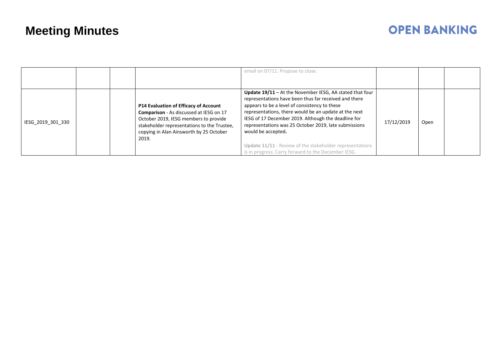## **OPEN BANKING**

|                   |  |                                                                                                                                                                                                                                            | email on 07/11. Propose to close.                                                                                                                                                                                                                                                                                                                                                                                                                                                           |            |      |  |
|-------------------|--|--------------------------------------------------------------------------------------------------------------------------------------------------------------------------------------------------------------------------------------------|---------------------------------------------------------------------------------------------------------------------------------------------------------------------------------------------------------------------------------------------------------------------------------------------------------------------------------------------------------------------------------------------------------------------------------------------------------------------------------------------|------------|------|--|
| IESG_2019_301_330 |  | <b>P14 Evaluation of Efficacy of Account</b><br><b>Comparison</b> - As discussed at IESG on 17<br>October 2019, IESG members to provide<br>stakeholder representations to the Trustee,<br>copying in Alan Ainsworth by 25 October<br>2019. | <b>Update 19/11</b> – At the November IESG, AA stated that four<br>representations have been thus far received and there<br>appears to be a level of consistency to these<br>representations, there would be an update at the next<br>IESG of 17 December 2019. Although the deadline for<br>representations was 25 October 2019, late submissions<br>would be accepted.<br>Update 11/11 - Review of the stakeholder representations<br>is in progress. Carry forward to the December IESG. | 17/12/2019 | Open |  |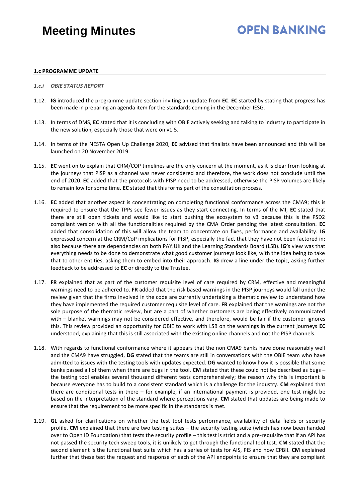## **OPEN BANKING**

#### **1.c PROGRAMME UPDATE**

- *1.c.i OBIE STATUS REPORT*
- 1.12. **IG** introduced the programme update section inviting an update from **EC**. **EC** started by stating that progress has been made in preparing an agenda item for the standards coming in the December IESG.
- 1.13. In terms of DMS, **EC** stated that it is concluding with OBIE actively seeking and talking to industry to participate in the new solution, especially those that were on v1.5.
- 1.14. In terms of the NESTA Open Up Challenge 2020, **EC** advised that finalists have been announced and this will be launched on 20 November 2019.
- 1.15. **EC** went on to explain that CRM/COP timelines are the only concern at the moment, as it is clear from looking at the journeys that PISP as a channel was never considered and therefore, the work does not conclude until the end of 2020. **EC** added that the protocols with PISP need to be addressed, otherwise the PISP volumes are likely to remain low for some time. **EC** stated that this forms part of the consultation process.
- 1.16. **EC** added that another aspect is concentrating on completing functional conformance across the CMA9; this is required to ensure that the TPPs see fewer issues as they start connecting. In terms of the MI, **EC** stated that there are still open tickets and would like to start pushing the ecosystem to v3 because this is the PSD2 compliant version with all the functionalities required by the CMA Order pending the latest consultation. **EC** added that consolidation of this will allow the team to concentrate on fixes, performance and availability. **IG** expressed concern at the CRM/CoP implications for PISP, especially the fact that they have not been factored in; also because there are dependencies on both PAY.UK and the Learning Standards Board (LSB). **IG'**s view was that everything needs to be done to demonstrate what good customer journeys look like, with the idea being to take that to other entities, asking them to embed into their approach. **IG** drew a line under the topic, asking further feedback to be addressed to **EC** or directly to the Trustee.
- 1.17. **FR** explained that as part of the customer requisite level of care required by CRM, effective and meaningful warnings need to be adhered to. **FR** added that the risk based warnings in the PISP journeys would fall under the review given that the firms involved in the code are currently undertaking a thematic review to understand how they have implemented the required customer requisite level of care. **FR** explained that the warnings are not the sole purpose of the thematic review, but are a part of whether customers are being effectively communicated with – blanket warnings may not be considered effective, and therefore, would be fair if the customer ignores this. This review provided an opportunity for OBIE to work with LSB on the warnings in the current journeys **EC** understood, explaining that this is still associated with the existing online channels and not the PISP channels.
- 1.18. With regards to functional conformance where it appears that the non CMA9 banks have done reasonably well and the CMA9 have struggled, **DG** stated that the teams are still in conversations with the OBIE team who have admitted to issues with the testing tools with updates expected. **DG** wanted to know how it is possible that some banks passed all of them when there are bugs in the tool. **CM** stated that these could not be described as bugs – the testing tool enables several thousand different tests comprehensively; the reason why this is important is because everyone has to build to a consistent standard which is a challenge for the industry. **CM** explained that there are conditional tests in there – for example, if an international payment is provided, one test might be based on the interpretation of the standard where perceptions vary. **CM** stated that updates are being made to ensure that the requirement to be more specific in the standards is met.
- 1.19. **GL** asked for clarifications on whether the test tool tests performance, availability of data fields or security profile. **CM** explained that there are two testing suites – the security testing suite (which has now been handed over to Open ID Foundation) that tests the security profile – this test is strict and a pre-requisite that if an API has not passed the security tech sweep tools, it is unlikely to get through the functional tool test. **CM** stated that the second element is the functional test suite which has a series of tests for AIS, PIS and now CPBII. **CM** explained further that these test the request and response of each of the API endpoints to ensure that they are compliant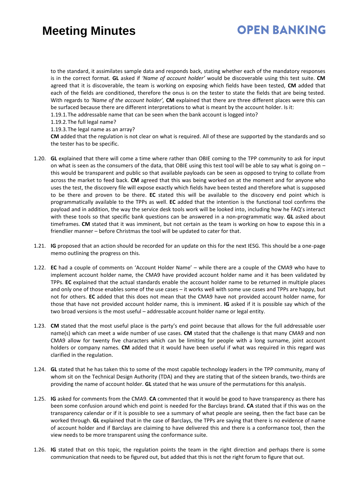## **OPEN BANKING**

to the standard, it assimilates sample data and responds back, stating whether each of the mandatory responses is in the correct format. **GL** asked if *'Name of account holder'* would be discoverable using this test suite. **CM** agreed that it is discoverable, the team is working on exposing which fields have been tested, **CM** added that each of the fields are conditioned, therefore the onus is on the tester to state the fields that are being tested. With regards to *'Name of the account holder',* **CM** explained that there are three different places were this can be surfaced because there are different interpretations to what is meant by the account holder. Is it:

1.19.1.The addressable name that can be seen when the bank account is logged into?

1.19.2.The full legal name?

#### 1.19.3.The legal name as an array?

**CM** added that the regulation is not clear on what is required. All of these are supported by the standards and so the tester has to be specific.

- 1.20. **GL** explained that there will come a time where rather than OBIE coming to the TPP community to ask for input on what is seen as the consumers of the data, that OBIE using this test tool will be able to say what is going on  $$ this would be transparent and public so that available payloads can be seen as opposed to trying to collate from across the market to feed back. **CM** agreed that this was being worked on at the moment and for anyone who uses the test, the discovery file will expose exactly which fields have been tested and therefore what is supposed to be there and proven to be there. **EC** stated this will be available to the discovery end point which is programmatically available to the TPPs as well. **EC** added that the intention is the functional tool confirms the payload and in addition, the way the service desk tools work will be looked into, including how he FAQ's interact with these tools so that specific bank questions can be answered in a non-programmatic way. **GL** asked about timeframes. **CM** stated that it was imminent, but not certain as the team is working on how to expose this in a friendlier manner – before Christmas the tool will be updated to cater for that.
- 1.21. **IG** proposed that an action should be recorded for an update on this for the next IESG. This should be a one-page memo outlining the progress on this.
- 1.22. **EC** had a couple of comments on 'Account Holder Name' while there are a couple of the CMA9 who have to implement account holder name, the CMA9 have provided account holder name and it has been validated by TPPs. **EC** explained that the actual standards enable the account holder name to be returned in multiple places and only one of those enables some of the use cases – it works well with some use cases and TPPs are happy, but not for others. **EC** added that this does not mean that the CMA9 have not provided account holder name, for those that have not provided account holder name, this is imminent. **IG** asked if it is possible say which of the two broad versions is the most useful – addressable account holder name or legal entity.
- 1.23. **CM** stated that the most useful place is the party's end point because that allows for the full addressable user name(s) which can meet a wide number of use cases. **CM** stated that the challenge is that many CMA9 and non CMA9 allow for twenty five characters which can be limiting for people with a long surname, joint account holders or company names. **CM** added that it would have been useful if what was required in this regard was clarified in the regulation.
- 1.24. **GL** stated that he has taken this to some of the most capable technology leaders in the TPP community, many of whom sit on the Technical Design Authority (TDA) and they are stating that of the sixteen brands, two-thirds are providing the name of account holder. **GL** stated that he was unsure of the permutations for this analysis.
- 1.25. **IG** asked for comments from the CMA9. **CA** commented that it would be good to have transparency as there has been some confusion around which end point is needed for the Barclays brand. **CA** stated that if this was on the transparency calendar or if it is possible to see a summary of what people are seeing, then the fact base can be worked through. **GL** explained that in the case of Barclays, the TPPs are saying that there is no evidence of name of account holder and if Barclays are claiming to have delivered this and there is a conformance tool, then the view needs to be more transparent using the conformance suite.
- 1.26. **IG** stated that on this topic, the regulation points the team in the right direction and perhaps there is some communication that needs to be figured out, but added that this is not the right forum to figure that out.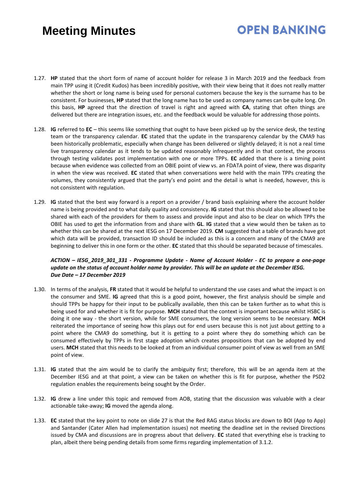## **OPEN BANKING**

- 1.27. **HP** stated that the short form of name of account holder for release 3 in March 2019 and the feedback from main TPP using it (Credit Kudos) has been incredibly positive, with their view being that it does not really matter whether the short or long name is being used for personal customers because the key is the surname has to be consistent. For businesses, **HP** stated that the long name has to be used as company names can be quite long. On this basis, **HP** agreed that the direction of travel is right and agreed with **CA**, stating that often things are delivered but there are integration issues, etc. and the feedback would be valuable for addressing those points.
- 1.28. **IG** referred to **EC** this seems like something that ought to have been picked up by the service desk, the testing team or the transparency calendar. **EC** stated that the update in the transparency calendar by the CMA9 has been historically problematic, especially when change has been delivered or slightly delayed; it is not a real time live transparency calendar as it tends to be updated reasonably infrequently and in that context, the process through testing validates post implementation with one or more TPPs. **EC** added that there is a timing point because when evidence was collected from an OBIE point of view vs. an FDATA point of view, there was disparity in when the view was received. **EC** stated that when conversations were held with the main TPPs creating the volumes, they consistently argued that the party's end point and the detail is what is needed, however, this is not consistent with regulation.
- 1.29. **IG** stated that the best way forward is a report on a provider / brand basis explaining where the account holder name is being provided and to what daily quality and consistency. **IG** stated that this should also be allowed to be shared with each of the providers for them to assess and provide input and also to be clear on which TPPs the OBIE has used to get the information from and share with **GL**. **IG** stated that a view would then be taken as to whether this can be shared at the next IESG on 17 December 2019. **CM** suggested that a table of brands have got which data will be provided, transaction ID should be included as this is a concern and many of the CMA9 are beginning to deliver this in one form or the other. **EC** stated that this should be separated because of timescales.

#### *ACTION – IESG\_2019\_301\_331 - Programme Update - Name of Account Holder - EC to prepare a one-page update on the status of account holder name by provider. This will be an update at the December IESG. Due Date – 17 December 2019*

- 1.30. In terms of the analysis, **FR** stated that it would be helpful to understand the use cases and what the impact is on the consumer and SME. **IG** agreed that this is a good point, however, the first analysis should be simple and should TPPs be happy for their input to be publically available, then this can be taken further as to what this is being used for and whether it is fit for purpose. **MCH** stated that the context is important because whilst HSBC is doing it one way - the short version, while for SME consumers, the long version seems to be necessary. **MCH** reiterated the importance of seeing how this plays out for end users because this is not just about getting to a point where the CMA9 do something, but it is getting to a point where they do something which can be consumed effectively by TPPs in first stage adoption which creates propositions that can be adopted by end users. **MCH** stated that this needs to be looked at from an individual consumer point of view as well from an SME point of view.
- 1.31. **IG** stated that the aim would be to clarify the ambiguity first; therefore, this will be an agenda item at the December IESG and at that point, a view can be taken on whether this is fit for purpose, whether the PSD2 regulation enables the requirements being sought by the Order.
- 1.32. **IG** drew a line under this topic and removed from AOB, stating that the discussion was valuable with a clear actionable take-away; **IG** moved the agenda along.
- 1.33. **EC** stated that the key point to note on slide 27 is that the Red RAG status blocks are down to BOI (App to App) and Santander (Cater Allen had implementation issues) not meeting the deadline set in the revised Directions issued by CMA and discussions are in progress about that delivery. **EC** stated that everything else is tracking to plan, albeit there being pending details from some firms regarding implementation of 3.1.2.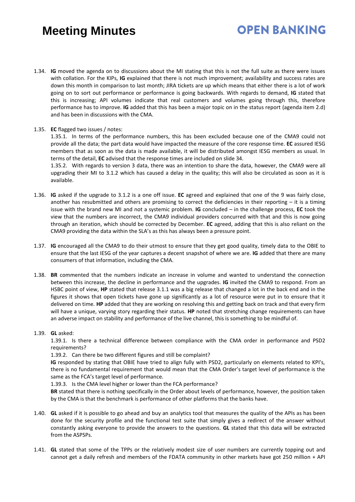1.34. **IG** moved the agenda on to discussions about the MI stating that this is not the full suite as there were issues with collation. For the KIPs, **IG** explained that there is not much improvement; availability and success rates are down this month in comparison to last month; JIRA tickets are up which means that either there is a lot of work going on to sort out performance or performance is going backwards. With regards to demand, **IG** stated that this is increasing; API volumes indicate that real customers and volumes going through this, therefore performance has to improve. **IG** added that this has been a major topic on in the status report (agenda item 2.d) and has been in discussions with the CMA.

**OPEN BANKING** 

#### 1.35. **EC** flagged two issues / notes:

1.35.1. In terms of the performance numbers, this has been excluded because one of the CMA9 could not provide all the data; the part data would have impacted the measure of the core response time. **EC** assured IESG members that as soon as the data is made available, it will be distributed amongst IESG members as usual. In terms of the detail, **EC** advised that the response times are included on slide 34.

1.35.2. With regards to version 3 data, there was an intention to share the data, however, the CMA9 were all upgrading their MI to 3.1.2 which has caused a delay in the quality; this will also be circulated as soon as it is available.

- 1.36. **IG** asked if the upgrade to 3.1.2 is a one off issue. **EC** agreed and explained that one of the 9 was fairly close, another has resubmitted and others are promising to correct the deficiencies in their reporting – it is a timing issue with the brand new MI and not a systemic problem. **IG** concluded – in the challenge process, **EC** took the view that the numbers are incorrect, the CMA9 individual providers concurred with that and this is now going through an iteration, which should be corrected by December. **EC** agreed, adding that this is also reliant on the CMA9 providing the data within the SLA's as this has always been a pressure point.
- 1.37. **IG** encouraged all the CMA9 to do their utmost to ensure that they get good quality, timely data to the OBIE to ensure that the last IESG of the year captures a decent snapshot of where we are. **IG** added that there are many consumers of that information, including the CMA.
- 1.38. **BR** commented that the numbers indicate an increase in volume and wanted to understand the connection between this increase, the decline in performance and the upgrades. **IG** invited the CMA9 to respond. From an HSBC point of view, **HP** stated that release 3.1.1 was a big release that changed a lot in the back end and in the figures it shows that open tickets have gone up significantly as a lot of resource were put in to ensure that it delivered on time. **HP** added that they are working on resolving this and getting back on track and that every firm will have a unique, varying story regarding their status. **HP** noted that stretching change requirements can have an adverse impact on stability and performance of the live channel, this is something to be mindful of.

#### 1.39. **GL** asked:

1.39.1. Is there a technical difference between compliance with the CMA order in performance and PSD2 requirements?

1.39.2. Can there be two different figures and still be complaint?

**IG** responded by stating that OBIE have tried to align fully with PSD2, particularly on elements related to KPI's, there is no fundamental requirement that would mean that the CMA Order's target level of performance is the same as the FCA's target level of performance.

1.39.3. Is the CMA level higher or lower than the FCA performance?

**BR** stated that there is nothing specifically in the Order about levels of performance, however, the position taken by the CMA is that the benchmark is performance of other platforms that the banks have.

- 1.40. **GL** asked if it is possible to go ahead and buy an analytics tool that measures the quality of the APIs as has been done for the security profile and the functional test suite that simply gives a redirect of the answer without constantly asking everyone to provide the answers to the questions. **GL** stated that this data will be extracted from the ASPSPs.
- 1.41. **GL** stated that some of the TPPs or the relatively modest size of user numbers are currently topping out and cannot get a daily refresh and members of the FDATA community in other markets have got 250 million + API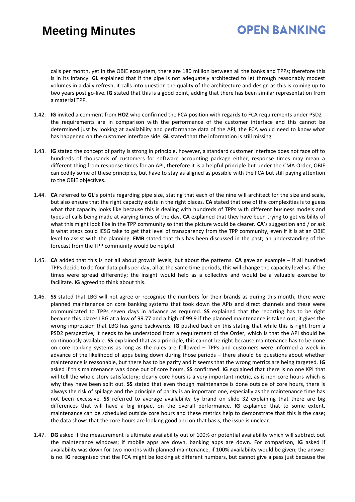## **OPEN BANKING**

calls per month, yet in the OBIE ecosystem, there are 180 million between all the banks and TPPs; therefore this is in its infancy. **GL** explained that if the pipe is not adequately architected to let through reasonably modest volumes in a daily refresh, it calls into question the quality of the architecture and design as this is coming up to two years post go-live. **IG** stated that this is a good point, adding that there has been similar representation from a material TPP.

- 1.42. **IG** invited a comment from **HOZ** who confirmed the FCA position with regards to FCA requirements under PSD2 the requirements are in comparison with the performance of the customer interface and this cannot be determined just by looking at availability and performance data of the API, the FCA would need to know what has happened on the customer interface side. **GL** stated that the information is still missing.
- 1.43. **IG** stated the concept of parity is strong in principle, however, a standard customer interface does not face off to hundreds of thousands of customers for software accounting package either, response times may mean a different thing from response times for an API, therefore it is a helpful principle but under the CMA Order, OBIE can codify some of these principles, but have to stay as aligned as possible with the FCA but still paying attention to the OBIE objectives.
- 1.44. **CA** referred to **GL**'s points regarding pipe size, stating that each of the nine will architect for the size and scale, but also ensure that the right capacity exists in the right places. **CA** stated that one of the complexities is to guess what that capacity looks like because this is dealing with hundreds of TPPs with different business models and types of calls being made at varying times of the day. **CA** explained that they have been trying to get visibility of what this might look like in the TPP community so that the picture would be clearer. **CA**'s suggestion and / or ask is what steps could IESG take to get that level of transparency from the TPP community, even if it is at an OBIE level to assist with the planning. **EMB** stated that this has been discussed in the past; an understanding of the forecast from the TPP community would be helpful.
- 1.45. **CA** added that this is not all about growth levels, but about the patterns. **CA** gave an example if all hundred TPPs decide to do four data pulls per day, all at the same time periods, this will change the capacity level vs. if the times were spread differently; the insight would help as a collective and would be a valuable exercise to facilitate. **IG** agreed to think about this.
- 1.46. **SS** stated that LBG will not agree or recognise the numbers for their brands as during this month, there were planned maintenance on core banking systems that took down the APIs and direct channels and these were communicated to TPPs seven days in advance as required. **SS** explained that the reporting has to be right because this places LBG at a low of 99.77 and a high of 99.9 if the planned maintenance is taken out; it gives the wrong impression that LBG has gone backwards. **IG** pushed back on this stating that while this is right from a PSD2 perspective, it needs to be understood from a requirement of the Order, which is that the API should be continuously available. **SS** explained that as a principle, this cannot be right because maintenance has to be done on core banking systems as long as the rules are followed – TPPs and customers were informed a week in advance of the likelihood of apps being down during those periods – there should be questions about whether maintenance is reasonable, but there has to be parity and it seems that the wrong metrics are being targeted. **IG** asked if this maintenance was done out of core hours, **SS** confirmed. **IG** explained that there is no one KPI that will tell the whole story satisfactory; clearly core hours is a very important metric, as is non-core hours which is why they have been split out. **SS** stated that even though maintenance is done outside of core hours, there is always the risk of spillage and the principle of parity is an important one, especially as the maintenance time has not been excessive. **SS** referred to average availability by brand on slide 32 explaining that there are big differences that will have a big impact on the overall performance. **IG** explained that to some extent, maintenance can be scheduled outside core hours and these metrics help to demonstrate that this is the case; the data shows that the core hours are looking good and on that basis, the issue is unclear.
- 1.47. **DG** asked if the measurement is ultimate availability out of 100% or potential availability which will subtract out the maintenance windows; if mobile apps are down, banking apps are down. For comparison, **IG** asked if availability was down for two months with planned maintenance, if 100% availability would be given; the answer is no. **IG** recognised that the FCA might be looking at different numbers, but cannot give a pass just because the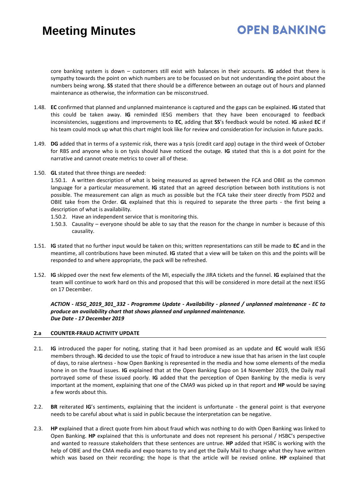## **OPEN BANKING**

core banking system is down – customers still exist with balances in their accounts. **IG** added that there is sympathy towards the point on which numbers are to be focussed on but not understanding the point about the numbers being wrong. **SS** stated that there should be a difference between an outage out of hours and planned maintenance as otherwise, the information can be misconstrued.

- 1.48. **EC** confirmed that planned and unplanned maintenance is captured and the gaps can be explained. **IG** stated that this could be taken away. **IG** reminded IESG members that they have been encouraged to feedback inconsistencies, suggestions and improvements to **EC**, adding that **SS**'s feedback would be noted. **IG** asked **EC** if his team could mock up what this chart might look like for review and consideration for inclusion in future packs.
- 1.49. **DG** added that in terms of a systemic risk, there was a tysis (credit card app) outage in the third week of October for RBS and anyone who is on tysis should have noticed the outage. **IG** stated that this is a dot point for the narrative and cannot create metrics to cover all of these.
- 1.50. **GL** stated that three things are needed:

1.50.1. A written description of what is being measured as agreed between the FCA and OBIE as the common language for a particular measurement. **IG** stated that an agreed description between both institutions is not possible. The measurement can align as much as possible but the FCA take their steer directly from PSD2 and OBIE take from the Order. **GL** explained that this is required to separate the three parts - the first being a description of what is availability.

- 1.50.2. Have an independent service that is monitoring this.
- 1.50.3. Causality everyone should be able to say that the reason for the change in number is because of this causality.
- 1.51. **IG** stated that no further input would be taken on this; written representations can still be made to **EC** and in the meantime, all contributions have been minuted. **IG** stated that a view will be taken on this and the points will be responded to and where appropriate, the pack will be refreshed.
- 1.52. **IG** skipped over the next few elements of the MI, especially the JIRA tickets and the funnel. **IG** explained that the team will continue to work hard on this and proposed that this will be considered in more detail at the next IESG on 17 December.

*ACTION - IESG\_2019\_301\_332 - Programme Update - Availability - planned / unplanned maintenance - EC to produce an availability chart that shows planned and unplanned maintenance. Due Date - 17 December 2019*

#### **2.a COUNTER-FRAUD ACTIVITY UPDATE**

- 2.1. **IG** introduced the paper for noting, stating that it had been promised as an update and **EC** would walk IESG members through. **IG** decided to use the topic of fraud to introduce a new issue that has arisen in the last couple of days, to raise alertness - how Open Banking is represented in the media and how some elements of the media hone in on the fraud issues. **IG** explained that at the Open Banking Expo on 14 November 2019, the Daily mail portrayed some of these issued poorly. **IG** added that the perception of Open Banking by the media is very important at the moment, explaining that one of the CMA9 was picked up in that report and **HP** would be saying a few words about this.
- 2.2. **BR** reiterated **IG**'s sentiments, explaining that the incident is unfortunate the general point is that everyone needs to be careful about what is said in public because the interpretation can be negative.
- 2.3. **HP** explained that a direct quote from him about fraud which was nothing to do with Open Banking was linked to Open Banking. **HP** explained that this is unfortunate and does not represent his personal / HSBC's perspective and wanted to reassure stakeholders that these sentences are untrue. **HP** added that HSBC is working with the help of OBIE and the CMA media and expo teams to try and get the Daily Mail to change what they have written which was based on their recording; the hope is that the article will be revised online. **HP** explained that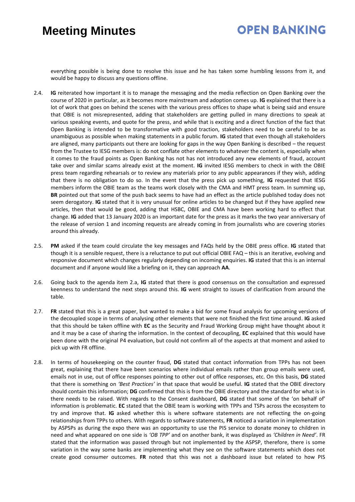### **OPEN BANKING**

everything possible is being done to resolve this issue and he has taken some humbling lessons from it, and would be happy to discuss any questions offline.

- 2.4. **IG** reiterated how important it is to manage the messaging and the media reflection on Open Banking over the course of 2020 in particular, as it becomes more mainstream and adoption comes up. **IG** explained that there is a lot of work that goes on behind the scenes with the various press offices to shape what is being said and ensure that OBIE is not misrepresented, adding that stakeholders are getting pulled in many directions to speak at various speaking events, and quote for the press, and while that is exciting and a direct function of the fact that Open Banking is intended to be transformative with good traction, stakeholders need to be careful to be as unambiguous as possible when making statements in a public forum. **IG** stated that even though all stakeholders are aligned, many participants out there are looking for gaps in the way Open Banking is described – the request from the Trustee to IESG members is: do not conflate other elements to whatever the content is, especially when it comes to the fraud points as Open Banking has not has not introduced any new elements of fraud, account take over and similar scams already exist at the moment. **IG** invited IESG members to check in with the OBIE press team regarding rehearsals or to review any materials prior to any public appearances if they wish, adding that there is no obligation to do so. In the event that the press pick up something, **IG** requested that IESG members inform the OBIE team as the teams work closely with the CMA and HMT press team. In summing up, **BR** pointed out that some of the push back seems to have had an effect as the article published today does not seem derogatory. **IG** stated that it is very unusual for online articles to be changed but if they have applied new articles, then that would be good, adding that HSBC, OBIE and CMA have been working hard to effect that change. **IG** added that 13 January 2020 is an important date for the press as it marks the two year anniversary of the release of version 1 and incoming requests are already coming in from journalists who are covering stories around this already.
- 2.5. **PM** asked if the team could circulate the key messages and FAQs held by the OBIE press office. **IG** stated that though it is a sensible request, there is a reluctance to put out official OBIE FAQ – this is an iterative, evolving and responsive document which changes regularly depending on incoming enquiries. **IG** stated that this is an internal document and if anyone would like a briefing on it, they can approach **AA**.
- 2.6. Going back to the agenda item 2.a, **IG** stated that there is good consensus on the consultation and expressed keenness to understand the next steps around this. **IG** went straight to issues of clarification from around the table.
- 2.7. **FR** stated that this is a great paper, but wanted to make a bid for some fraud analysis for upcoming versions of the decoupled scope in terms of analysing other elements that were not finished the first time around. **IG** asked that this should be taken offline with **EC** as the Security and Fraud Working Group might have thought about it and it may be a case of sharing the information. In the context of decoupling, **EC** explained that this would have been done with the original P4 evaluation, but could not confirm all of the aspects at that moment and asked to pick up with FR offline.
- 2.8. In terms of housekeeping on the counter fraud, **DG** stated that contact information from TPPs has not been great, explaining that there have been scenarios where individual emails rather than group emails were used, emails not in use, out of office responses pointing to other out of office responses, etc. On this basis, **DG** stated that there is something on *'Best Practices'* in that space that would be useful. **IG** stated that the OBIE directory should contain this information; **DG** confirmed that this is from the OBIE directory and the standard for what is in there needs to be raised. With regards to the Consent dashboard, **DG** stated that some of the 'on behalf of' information is problematic. **EC** stated that the OBIE team is working with TPPs and TSPs across the ecosystem to try and improve that. **IG** asked whether this is where software statements are not reflecting the on-going relationships from TPPs to others. With regards to software statements, **FR** noticed a variation in implementation by ASPSPs as during the expo there was an opportunity to use the PIS service to donate money to children in need and what appeared on one side is *'OB TPP'* and on another bank, it was displayed as *'Children in Need'*. FR stated that the information was passed through but not implemented by the ASPSP, therefore, there is some variation in the way some banks are implementing what they see on the software statements which does not create good consumer outcomes. **FR** noted that this was not a dashboard issue but related to how PIS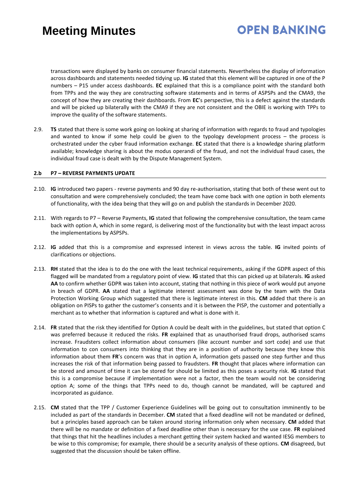## **OPEN BANKING**

transactions were displayed by banks on consumer financial statements. Nevertheless the display of information across dashboards and statements needed tidying up. **IG** stated that this element will be captured in one of the P numbers – P15 under access dashboards. **EC** explained that this is a compliance point with the standard both from TPPs and the way they are constructing software statements and in terms of ASPSPs and the CMA9, the concept of how they are creating their dashboards. From **EC**'s perspective, this is a defect against the standards and will be picked up bilaterally with the CMA9 if they are not consistent and the OBIE is working with TPPs to improve the quality of the software statements.

2.9. **TS** stated that there is some work going on looking at sharing of information with regards to fraud and typologies and wanted to know if some help could be given to the typology development process – the process is orchestrated under the cyber fraud information exchange. **EC** stated that there is a knowledge sharing platform available; knowledge sharing is about the modus operandi of the fraud, and not the individual fraud cases, the individual fraud case is dealt with by the Dispute Management System.

#### **2.b P7 – REVERSE PAYMENTS UPDATE**

- 2.10. **IG** introduced two papers reverse payments and 90 day re-authorisation, stating that both of these went out to consultation and were comprehensively concluded; the team have come back with one option in both elements of functionality, with the idea being that they will go on and publish the standards in December 2020.
- 2.11. With regards to P7 Reverse Payments, **IG** stated that following the comprehensive consultation, the team came back with option A, which in some regard, is delivering most of the functionality but with the least impact across the implementations by ASPSPs.
- 2.12. **IG** added that this is a compromise and expressed interest in views across the table. **IG** invited points of clarifications or objections.
- 2.13. **RH** stated that the idea is to do the one with the least technical requirements, asking if the GDPR aspect of this flagged will be mandated from a regulatory point of view. **IG** stated that this can picked up at bilaterals. **IG** asked **AA** to confirm whether GDPR was taken into account, stating that nothing in this piece of work would put anyone in breach of GDPR. **AA** stated that a legitimate interest assessment was done by the team with the Data Protection Working Group which suggested that there is legitimate interest in this. **CM** added that there is an obligation on PISPs to gather the customer's consents and it is between the PISP, the customer and potentially a merchant as to whether that information is captured and what is done with it.
- 2.14. **FR** stated that the risk they identified for Option A could be dealt with in the guidelines, but stated that option C was preferred because it reduced the risks. **FR** explained that as unauthorised fraud drops, authorised scams increase. Fraudsters collect information about consumers (like account number and sort code) and use that information to con consumers into thinking that they are in a position of authority because they know this information about them **FR**'s concern was that in option A, information gets passed one step further and thus increases the risk of that information being passed to fraudsters. **FR** thought that places where information can be stored and amount of time it can be stored for should be limited as this poses a security risk. **IG** stated that this is a compromise because if implementation were not a factor, then the team would not be considering option A; some of the things that TPPs need to do, though cannot be mandated, will be captured and incorporated as guidance.
- 2.15. **CM** stated that the TPP / Customer Experience Guidelines will be going out to consultation imminently to be included as part of the standards in December. **CM** stated that a fixed deadline will not be mandated or defined, but a principles based approach can be taken around storing information only when necessary. **CM** added that there will be no mandate or definition of a fixed deadline other than is necessary for the use case. **FR** explained that things that hit the headlines includes a merchant getting their system hacked and wanted IESG members to be wise to this compromise; for example, there should be a security analysis of these options. **CM** disagreed, but suggested that the discussion should be taken offline.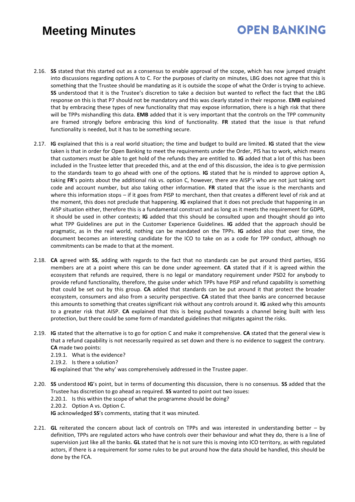## **OPEN BANKING**

- 2.16. **SS** stated that this started out as a consensus to enable approval of the scope, which has now jumped straight into discussions regarding options A to C. For the purposes of clarity on minutes, LBG does not agree that this is something that the Trustee should be mandating as it is outside the scope of what the Order is trying to achieve. **SS** understood that it is the Trustee's discretion to take a decision but wanted to reflect the fact that the LBG response on this is that P7 should not be mandatory and this was clearly stated in their response. **EMB** explained that by embracing these types of new functionality that may expose information, there is a high risk that there will be TPPs mishandling this data. **EMB** added that it is very important that the controls on the TPP community are framed strongly before embracing this kind of functionality. **FR** stated that the issue is that refund functionality is needed, but it has to be something secure.
- 2.17. **IG** explained that this is a real world situation; the time and budget to build are limited. **IG** stated that the view taken is that in order for Open Banking to meet the requirements under the Order, PIS has to work, which means that customers must be able to get hold of the refunds they are entitled to. **IG** added that a lot of this has been included in the Trustee letter that preceded this, and at the end of this discussion, the idea is to give permission to the standards team to go ahead with one of the options. **IG** stated that he is minded to approve option A, taking **FR**'s points about the additional risk vs. option C, however, there are AISP's who are not just taking sort code and account number, but also taking other information. **FR** stated that the issue is the merchants and where this information stops – if it goes from PISP to merchant, then that creates a different level of risk and at the moment, this does not preclude that happening. **IG** explained that it does not preclude that happening in an AISP situation either, therefore this is a fundamental construct and as long as it meets the requirement for GDPR, it should be used in other contexts; **IG** added that this should be consulted upon and thought should go into what TPP Guidelines are put in the Customer Experience Guidelines. **IG** added that the approach should be pragmatic, as in the real world, nothing can be mandated on the TPPs. **IG** added also that over time, the document becomes an interesting candidate for the ICO to take on as a code for TPP conduct, although no commitments can be made to that at the moment.
- 2.18. **CA** agreed with **SS**, adding with regards to the fact that no standards can be put around third parties, IESG members are at a point where this can be done under agreement. **CA** stated that if it is agreed within the ecosystem that refunds are required, there is no legal or mandatory requirement under PSD2 for anybody to provide refund functionality, therefore, the guise under which TPPs have PISP and refund capability is something that could be set out by this group. **CA** added that standards can be put around it that protect the broader ecosystem, consumers and also from a security perspective. **CA** stated that thee banks are concerned because this amounts to something that creates significant risk without any controls around it. **IG** asked why this amounts to a greater risk that AISP. **CA** explained that this is being pushed towards a channel being built with less protection, but there could be some form of mandated guidelines that mitigates against the risks.
- 2.19. **IG** stated that the alternative is to go for option C and make it comprehensive. **CA** stated that the general view is that a refund capability is not necessarily required as set down and there is no evidence to suggest the contrary. **CA** made two points:

2.19.1. What is the evidence?

2.19.2. Is there a solution?

**IG** explained that 'the why' was comprehensively addressed in the Trustee paper.

2.20. **SS** understood **IG**'s point, but in terms of documenting this discussion, there is no consensus. **SS** added that the Trustee has discretion to go ahead as required. **SS** wanted to point out two issues: 2.20.1. Is this within the scope of what the programme should be doing? 2.20.2. Option A vs. Option C.

**IG** acknowledged **SS**'s comments, stating that it was minuted.

2.21. **GL** reiterated the concern about lack of controls on TPPs and was interested in understanding better – by definition, TPPs are regulated actors who have controls over their behaviour and what they do, there is a line of supervision just like all the banks. **GL** stated that he is not sure this is moving into ICO territory, as with regulated actors, if there is a requirement for some rules to be put around how the data should be handled, this should be done by the FCA.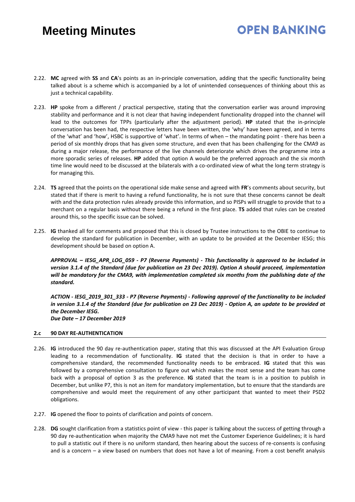## **OPEN BANKING**

- 2.22. **MC** agreed with **SS** and **CA**'s points as an in-principle conversation, adding that the specific functionality being talked about is a scheme which is accompanied by a lot of unintended consequences of thinking about this as just a technical capability.
- 2.23. **HP** spoke from a different / practical perspective, stating that the conversation earlier was around improving stability and performance and it is not clear that having independent functionality dropped into the channel will lead to the outcomes for TPPs (particularly after the adjustment period). **HP** stated that the in-principle conversation has been had, the respective letters have been written, the 'why' have been agreed, and in terms of the 'what' and 'how', HSBC is supportive of 'what'. In terms of when – the mandating point - there has been a period of six monthly drops that has given some structure, and even that has been challenging for the CMA9 as during a major release, the performance of the live channels deteriorate which drives the programme into a more sporadic series of releases. **HP** added that option A would be the preferred approach and the six month time line would need to be discussed at the bilaterals with a co-ordinated view of what the long term strategy is for managing this.
- 2.24. **TS** agreed that the points on the operational side make sense and agreed with **FR**'s comments about security, but stated that if there is merit to having a refund functionality, he is not sure that these concerns cannot be dealt with and the data protection rules already provide this information, and so PISPs will struggle to provide that to a merchant on a regular basis without there being a refund in the first place. **TS** added that rules can be created around this, so the specific issue can be solved.
- 2.25. **IG** thanked all for comments and proposed that this is closed by Trustee instructions to the OBIE to continue to develop the standard for publication in December, with an update to be provided at the December IESG; this development should be based on option A.

*APPROVAL – IESG\_APR\_LOG\_059 - P7 (Reverse Payments) - This functionality is approved to be included in version 3.1.4 of the Standard (due for publication on 23 Dec 2019). Option A should proceed, implementation will be mandatory for the CMA9, with implementation completed six months from the publishing date of the standard.*

*ACTION - IESG\_2019\_301\_333 - P7 (Reverse Payments) - Following approval of the functionality to be included in version 3.1.4 of the Standard (due for publication on 23 Dec 2019) - Option A, an update to be provided at the December IESG. Due Date – 17 December 2019* 

#### **2.c 90 DAY RE-AUTHENTICATION**

- 2.26. **IG** introduced the 90 day re-authentication paper, stating that this was discussed at the API Evaluation Group leading to a recommendation of functionality. **IG** stated that the decision is that in order to have a comprehensive standard, the recommended functionality needs to be embraced. **IG** stated that this was followed by a comprehensive consultation to figure out which makes the most sense and the team has come back with a proposal of option 3 as the preference. **IG** stated that the team is in a position to publish in December, but unlike P7, this is not an item for mandatory implementation, but to ensure that the standards are comprehensive and would meet the requirement of any other participant that wanted to meet their PSD2 obligations.
- 2.27. **IG** opened the floor to points of clarification and points of concern.
- 2.28. **DG** sought clarification from a statistics point of view this paper is talking about the success of getting through a 90 day re-authentication when majority the CMA9 have not met the Customer Experience Guidelines; it is hard to pull a statistic out if there is no uniform standard, then hearing about the success of re-consents is confusing and is a concern – a view based on numbers that does not have a lot of meaning. From a cost benefit analysis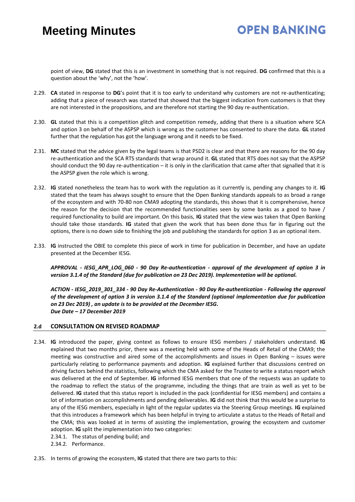## **OPEN BANKING**

point of view, **DG** stated that this is an investment in something that is not required. **DG** confirmed that this is a question about the 'why', not the 'how'.

- 2.29. **CA** stated in response to **DG**'s point that it is too early to understand why customers are not re-authenticating; adding that a piece of research was started that showed that the biggest indication from customers is that they are not interested in the propositions, and are therefore not starting the 90 day re-authentication.
- 2.30. **GL** stated that this is a competition glitch and competition remedy, adding that there is a situation where SCA and option 3 on behalf of the ASPSP which is wrong as the customer has consented to share the data. **GL** stated further that the regulation has got the language wrong and it needs to be fixed.
- 2.31. **MC** stated that the advice given by the legal teams is that PSD2 is clear and that there are reasons for the 90 day re-authentication and the SCA RTS standards that wrap around it. **GL** stated that RTS does not say that the ASPSP should conduct the 90 day re-authentication – it is only in the clarification that came after that signalled that it is the ASPSP given the role which is wrong.
- 2.32. **IG** stated nonetheless the team has to work with the regulation as it currently is, pending any changes to it. **IG** stated that the team has always sought to ensure that the Open Banking standards appeals to as broad a range of the ecosystem and with 70-80 non CMA9 adopting the standards, this shows that it is comprehensive, hence the reason for the decision that the recommended functionalities seen by some banks as a good to have / required functionality to build are important. On this basis, **IG** stated that the view was taken that Open Banking should take those standards. **IG** stated that given the work that has been done thus far in figuring out the options, there is no down side to finishing the job and publishing the standards for option 3 as an optional item.
- 2.33. **IG** instructed the OBIE to complete this piece of work in time for publication in December, and have an update presented at the December IESG.

*APPROVAL - IESG\_APR\_LOG\_060 - 90 Day Re-authentication - approval of the development of option 3 in version 3.1.4 of the Standard (due for publication on 23 Dec 2019). Implementation will be optional.*

*ACTION - IESG\_2019\_301\_334 - 90 Day Re-Authentication - 90 Day Re-authentication - Following the approval of the development of option 3 in version 3.1.4 of the Standard (optional implementation due for publication on 23 Dec 2019) , an update is to be provided at the December IESG. Due Date – 17 December 2019* 

#### **2.d CONSULTATION ON REVISED ROADMAP**

- 2.34. **IG** introduced the paper, giving context as follows to ensure IESG members / stakeholders understand. **IG** explained that two months prior, there was a meeting held with some of the Heads of Retail of the CMA9; the meeting was constructive and aired some of the accomplishments and issues in Open Banking – issues were particularly relating to performance payments and adoption. **IG** explained further that discussions centred on driving factors behind the statistics, following which the CMA asked for the Trustee to write a status report which was delivered at the end of September. **IG** informed IESG members that one of the requests was an update to the roadmap to reflect the status of the programme, including the things that are train as well as yet to be delivered. **IG** stated that this status report is included in the pack (confidential for IESG members) and contains a lot of information on accomplishments and pending deliverables. **IG** did not think that this would be a surprise to any of the IESG members, especially in light of the regular updates via the Steering Group meetings. **IG** explained that this introduces a framework which has been helpful in trying to articulate a status to the Heads of Retail and the CMA; this was looked at in terms of assisting the implementation, growing the ecosystem and customer adoption. **IG** split the implementation into two categories:
	- 2.34.1. The status of pending build; and
	- 2.34.2. Performance.
- 2.35. In terms of growing the ecosystem, **IG** stated that there are two parts to this: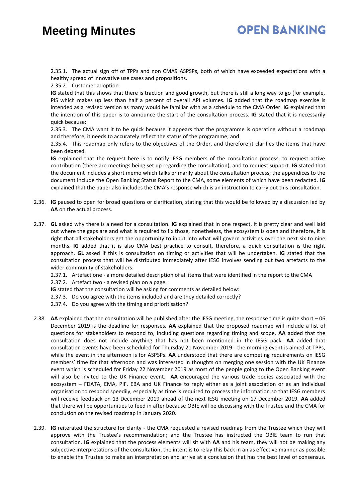## **OPEN BANKING**

2.35.1. The actual sign off of TPPs and non CMA9 ASPSPs, both of which have exceeded expectations with a healthy spread of innovative use cases and propositions.

2.35.2. Customer adoption.

**IG** stated that this shows that there is traction and good growth, but there is still a long way to go (for example, PIS which makes up less than half a percent of overall API volumes. **IG** added that the roadmap exercise is intended as a revised version as many would be familiar with as a schedule to the CMA Order. **IG** explained that the intention of this paper is to announce the start of the consultation process. **IG** stated that it is necessarily quick because:

2.35.3. The CMA want it to be quick because it appears that the programme is operating without a roadmap and therefore, it needs to accurately reflect the status of the programme; and

2.35.4. This roadmap only refers to the objectives of the Order, and therefore it clarifies the items that have been debated.

**IG** explained that the request here is to notify IESG members of the consultation process, to request active contribution (there are meetings being set up regarding the consultation), and to request support. **IG** stated that the document includes a short memo which talks primarily about the consultation process; the appendices to the document include the Open Banking Status Report to the CMA, some elements of which have been redacted. **IG** explained that the paper also includes the CMA's response which is an instruction to carry out this consultation.

- 2.36. **IG** paused to open for broad questions or clarification, stating that this would be followed by a discussion led by **AA** on the actual process.
- 2.37. **GL** asked why there is a need for a consultation. **IG** explained that in one respect, it is pretty clear and well laid out where the gaps are and what is required to fix those, nonetheless, the ecosystem is open and therefore, it is right that all stakeholders get the opportunity to input into what will govern activities over the next six to nine months. **IG** added that it is also CMA best practice to consult, therefore, a quick consultation is the right approach. **GL** asked if this is consultation on timing or activities that will be undertaken. **IG** stated that the consultation process that will be distributed immediately after IESG involves sending out two artefacts to the wider community of stakeholders:

2.37.1. Artefact one - a more detailed description of all items that were identified in the report to the CMA

- 2.37.2. Artefact two a revised plan on a page.
- **IG** stated that the consultation will be asking for comments as detailed below:
- 2.37.3. Do you agree with the items included and are they detailed correctly?
- 2.37.4. Do you agree with the timing and prioritisation?
- 2.38. **AA** explained that the consultation will be published after the IESG meeting, the response time is quite short 06 December 2019 is the deadline for responses. **AA** explained that the proposed roadmap will include a list of questions for stakeholders to respond to, including questions regarding timing and scope. **AA** added that the consultation does not include anything that has not been mentioned in the IESG pack. **AA** added that consultation events have been scheduled for Thursday 21 November 2019 - the morning event is aimed at TPPs, while the event in the afternoon is for ASPSPs. **AA** understood that there are competing requirements on IESG members' time for that afternoon and was interested in thoughts on merging one session with the UK Finance event which is scheduled for Friday 22 November 2019 as most of the people going to the Open Banking event will also be invited to the UK Finance event. **AA** encouraged the various trade bodies associated with the ecosystem – FDATA, EMA, PIF, EBA and UK Finance to reply either as a joint association or as an individual organisation to respond speedily, especially as time is required to process the information so that IESG members will receive feedback on 13 December 2019 ahead of the next IESG meeting on 17 December 2019. **AA** added that there will be opportunities to feed in after because OBIE will be discussing with the Trustee and the CMA for conclusion on the revised roadmap in January 2020.
- 2.39. **IG** reiterated the structure for clarity the CMA requested a revised roadmap from the Trustee which they will approve with the Trustee's recommendation; and the Trustee has instructed the OBIE team to run that consultation. **IG** explained that the process elements will sit with **AA** and his team, they will not be making any subjective interpretations of the consultation, the intent is to relay this back in an as effective manner as possible to enable the Trustee to make an interpretation and arrive at a conclusion that has the best level of consensus.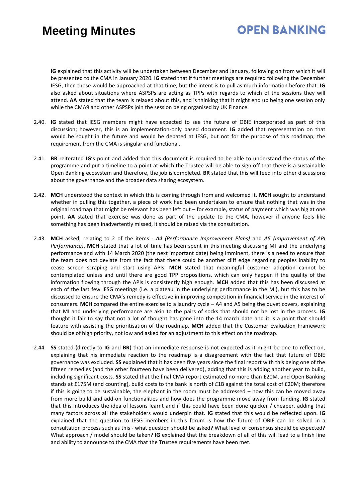## **OPEN BANKING**

**IG** explained that this activity will be undertaken between December and January, following on from which it will be presented to the CMA in January 2020. **IG** stated that if further meetings are required following the December IESG, then those would be approached at that time, but the intent is to pull as much information before that. **IG** also asked about situations where ASPSPs are acting as TPPs with regards to which of the sessions they will attend. **AA** stated that the team is relaxed about this, and is thinking that it might end up being one session only while the CMA9 and other ASPSPs join the session being organised by UK Finance.

- 2.40. **IG** stated that IESG members might have expected to see the future of OBIE incorporated as part of this discussion; however, this is an implementation-only based document. **IG** added that representation on that would be sought in the future and would be debated at IESG, but not for the purpose of this roadmap; the requirement from the CMA is singular and functional.
- 2.41. **BR** reiterated **IG**'s point and added that this document is required to be able to understand the status of the programme and put a timeline to a point at which the Trustee will be able to sign off that there is a sustainable Open Banking ecosystem and therefore, the job is completed. **BR** stated that this will feed into other discussions about the governance and the broader data sharing ecosystem.
- 2.42. **MCH** understood the context in which this is coming through from and welcomed it. **MCH** sought to understand whether in pulling this together, a piece of work had been undertaken to ensure that nothing that was in the original roadmap that might be relevant has been left out – for example, status of payment which was big at one point. **AA** stated that exercise was done as part of the update to the CMA, however if anyone feels like something has been inadvertently missed, it should be raised via the consultation.
- 2.43. **MCH** asked, relating to 2 of the items *A4 (Performance Improvement Plans)* and *A5 (Improvement of API Performance)*. **MCH** stated that a lot of time has been spent in this meeting discussing MI and the underlying performance and with 14 March 2020 (the next important date) being imminent, there is a need to ensure that the team does not deviate from the fact that there could be another cliff edge regarding peoples inability to cease screen scraping and start using APIs. **MCH** stated that meaningful customer adoption cannot be contemplated unless and until there are good TPP propositions, which can only happen if the quality of the information flowing through the APIs is consistently high enough. **MCH** added that this has been discussed at each of the last few IESG meetings (i.e. a plateau in the underlying performance in the MI), but this has to be discussed to ensure the CMA's remedy is effective in improving competition in financial service in the interest of consumers. **MCH** compared the entire exercise to a laundry cycle – A4 and A5 being the duvet covers, explaining that MI and underlying performance are akin to the pairs of socks that should not be lost in the process. **IG** thought it fair to say that not a lot of thought has gone into the 14 march date and it is a point that should feature with assisting the prioritisation of the roadmap. **MCH** added that the Customer Evaluation Framework should be of high priority, not low and asked for an adjustment to this effect on the roadmap.
- 2.44. **SS** stated (directly to **IG** and **BR**) that an immediate response is not expected as it might be one to reflect on, explaining that his immediate reaction to the roadmap is a disagreement with the fact that future of OBIE governance was excluded. **SS** explained that it has been five years since the final report with this being one of the fifteen remedies (and the other fourteen have been delivered), adding that this is adding another year to build, including significant costs. **SS** stated that the final CMA report estimated no more than £20M, and Open Banking stands at £175M (and counting), build costs to the bank is north of £1B against the total cost of £20M; therefore if this is going to be sustainable, the elephant in the room must be addressed – how this can be moved away from more build and add-on functionalities and how does the programme move away from funding. **IG** stated that this introduces the idea of lessons learnt and if this could have been done quicker / cheaper, adding that many factors across all the stakeholders would underpin that. **IG** stated that this would be reflected upon. **IG** explained that the question to IESG members in this forum is how the future of OBIE can be solved in a consultation process such as this - what question should be asked? What level of consensus should be expected? What approach / model should be taken? **IG** explained that the breakdown of all of this will lead to a finish line and ability to announce to the CMA that the Trustee requirements have been met.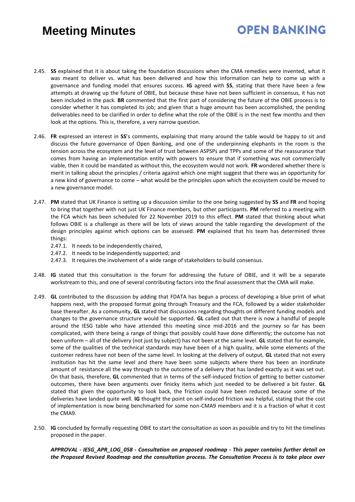## **OPEN BANKING**

- 2.45. **SS** explained that it is about taking the foundation discussions when the CMA remedies were invented, what it was meant to deliver vs. what has been delivered and how this information can help to come up with a governance and funding model that ensures success. **IG** agreed with **SS**, stating that there have been a few attempts at drawing up the future of OBIE, but because these have not been sufficient in consensus, it has not been included in the pack. **BR** commented that the first part of considering the future of the OBIE process is to consider whether it has completed its job; and given that a huge amount has been accomplished, the pending deliverables need to be clarified in order to define what the role of the OBIE is in the next few months and then look at the options. This is, therefore, a very narrow question.
- 2.46. **FR** expressed an interest in **SS**'s comments, explaining that many around the table would be happy to sit and discuss the future governance of Open Banking, and one of the underpinning elephants in the room is the tension across the ecosystem and the level of trust between ASPSPs and TPPs and some of the reassurance that comes from having an implementation entity with powers to ensure that if something was not commercially viable, then it could be mandated as without this, the ecosystem would not work. **FR** wondered whether there is merit in talking about the principles / criteria against which one might suggest that there was an opportunity for a new kind of governance to come – what would be the principles upon which the ecosystem could be moved to a new governance model.
- 2.47. **PM** stated that UK Finance is setting up a discussion similar to the one being suggested by **SS** and **FR** and hoping to bring that together with not just UK Finance members, but other participants. **PM** referred to a meeting with the FCA which has been scheduled for 22 November 2019 to this effect. **PM** stated that thinking about what follows OBIE is a challenge as there will be lots of views around the table regarding the development of the design principles against which options can be assessed. **PM** explained that his team has determined three things:
	- 2.47.1. It needs to be independently chaired,
	- 2.47.2. It needs to be independently supported; and
	- 2.47.3. It requires the involvement of a wide range of stakeholders to build consensus.
- 2.48. **IG** stated that this consultation is the forum for addressing the future of OBIE, and it will be a separate workstream to this, and one of several contributing factors into the final assessment that the CMA will make.
- 2.49. **GL** contributed to the discussion by adding that FDATA has begun a process of developing a blue print of what happens next, with the proposed format going through Treasury and the FCA, followed by a wider stakeholder base thereafter. As a community, **GL** stated that discussions regarding thoughts on different funding models and changes to the governance structure would be supported. **GL** called out that there is now a handful of people around the IESG table who have attended this meeting since mid-2016 and the journey so far has been complicated, with there being a range of things that possibly could have done differently; the outcome has not been uniform – all of the delivery (not just by subject) has not been at the same level. **GL** stated that for example, some of the qualities of the technical standards may have been of a high quality, while some elements of the customer redress have not been of the same level. In looking at the delivery of output, **GL** stated that not every institution has hit the same level and there have been some subjects where there has been an inordinate amount of resistance all the way through to the outcome of a delivery that has landed exactly as it was set out. On that basis, therefore, **GL** commented that in terms of the self-induced friction of getting to better customer outcomes, there have been arguments over finicky items which just needed to be delivered a bit faster. **GL** stated that given the opportunity to look back, the friction could have been reduced because some of the deliveries have landed quite well. **IG** thought the point on self-induced friction was helpful, stating that the cost of implementation is now being benchmarked for some non-CMA9 members and it is a fraction of what it cost the CMA9.
- 2.50. **IG** concluded by formally requesting OBIE to start the consultation as soon as possible and try to hit the timelines proposed in the paper.

*APPROVAL - IESG\_APR\_LOG\_058 - Consultation on proposed roadmap - This paper contains further detail on the Proposed Revised Roadmap and the consultation process. The Consultation Process is to take place over*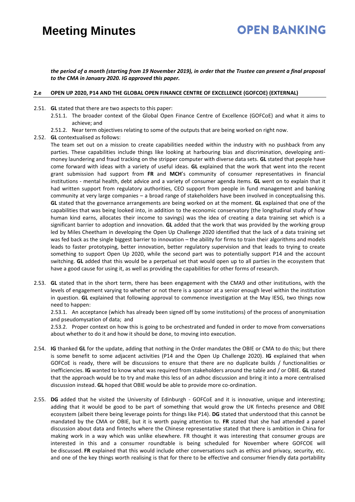### **OPEN BANKING**

*the period of a month (starting from 19 November 2019), in order that the Trustee can present a final proposal to the CMA in January 2020. IG approved this paper.*

#### **2.e OPEN UP 2020, P14 AND THE GLOBAL OPEN FINANCE CENTRE OF EXCELLENCE (GOFCOE) (EXTERNAL)**

- 2.51. **GL** stated that there are two aspects to this paper:
	- 2.51.1. The broader context of the Global Open Finance Centre of Excellence (GOFCoE) and what it aims to achieve; and
	- 2.51.2. Near term objectives relating to some of the outputs that are being worked on right now.
- 2.52. **GL** contextualised as follows:

The team set out on a mission to create capabilities needed within the industry with no pushback from any parties. These capabilities include things like looking at harbouring bias and discrimination, developing antimoney laundering and fraud tracking on the stripper computer with diverse data sets. **GL** stated that people have come forward with ideas with a variety of useful ideas. **GL** explained that the work that went into the recent grant submission had support from **FR** and **MCH**'s community of consumer representatives in financial institutions - mental health, debt advice and a variety of consumer agenda items. **GL** went on to explain that it had written support from regulatory authorities, CEO support from people in fund management and banking community at very large companies – a broad range of stakeholders have been involved in conceptualising this. **GL** stated that the governance arrangements are being worked on at the moment. **GL** explained that one of the capabilities that was being looked into, in addition to the economic conservatory (the longitudinal study of how human kind earns, allocates their income to savings) was the idea of creating a data training set which is a significant barrier to adoption and innovation. **GL** added that the work that was provided by the working group led by Miles Cheetham in developing the Open Up Challenge 2020 identified that the lack of a data training set was fed back as the single biggest barrier to innovation – the ability for firms to train their algorithms and models leads to faster prototyping, better innovation, better regulatory supervision and that leads to trying to create something to support Open Up 2020, while the second part was to potentially support P14 and the account switching. **GL** added that this would be a perpetual set that would open up to all parties in the ecosystem that have a good cause for using it, as well as providing the capabilities for other forms of research.

2.53. **GL** stated that in the short term, there has been engagement with the CMA9 and other institutions, with the levels of engagement varying to whether or not there is a sponsor at a senior enough level within the institution in question. **GL** explained that following approval to commence investigation at the May IESG, two things now need to happen:

2.53.1. An acceptance (which has already been signed off by some institutions) of the process of anonymisation and pseudomysation of data; and

2.53.2. Proper context on how this is going to be orchestrated and funded in order to move from conversations about whether to do it and how it should be done, to moving into execution.

- 2.54. **IG** thanked **GL** for the update, adding that nothing in the Order mandates the OBIE or CMA to do this; but there is some benefit to some adjacent activities (P14 and the Open Up Challenge 2020). **IG** explained that when GOFCoE is ready, there will be discussions to ensure that there are no duplicate builds / functionalities or inefficiencies. **IG** wanted to know what was required from stakeholders around the table and / or OBIE. **GL** stated that the approach would be to try and make this less of an adhoc discussion and bring it into a more centralised discussion instead. **GL** hoped that OBIE would be able to provide more co-ordination.
- 2.55. **DG** added that he visited the University of Edinburgh GOFCoE and it is innovative, unique and interesting; adding that it would be good to be part of something that would grow the UK fintechs presence and OBIE ecosystem (albeit there being leverage points for things like P14). **DG** stated that understood that this cannot be mandated by the CMA or OBIE, but it is worth paying attention to. **FR** stated that she had attended a panel discussion about data and fintechs where the Chinese representative stated that there is ambition in China for making work in a way which was unlike elsewhere. FR thought it was interesting that consumer groups are interested in this and a consumer roundtable is being scheduled for November where GOFCOE will be discussed. **FR** explained that this would include other conversations such as ethics and privacy, security, etc. and one of the key things worth realising is that for there to be effective and consumer friendly data portability